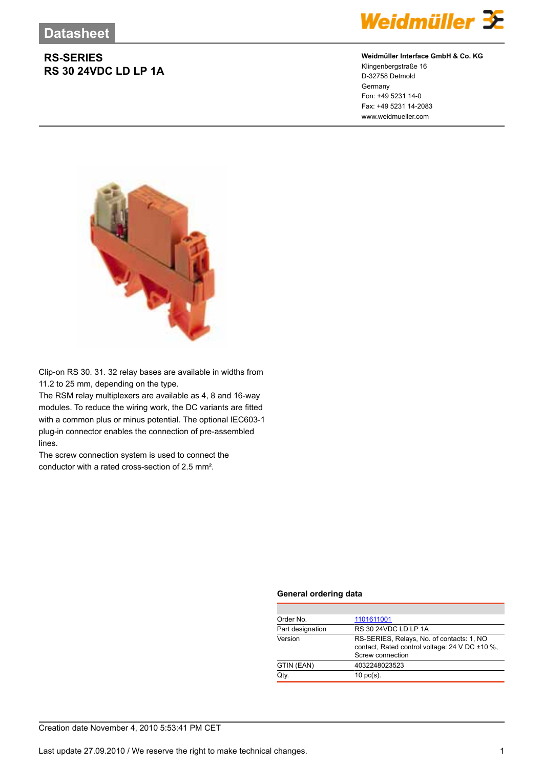## **RS-SERIES RS 30 24VDC LD LP 1A**



### **Weidmüller Interface GmbH & Co. KG**

Klingenbergstraße 16 D-32758 Detmold Germany Fon: +49 5231 14-0 Fax: +49 5231 14-2083 www.weidmueller.com



Clip-on RS 30. 31. 32 relay bases are available in widths from 11.2 to 25 mm, depending on the type.

The RSM relay multiplexers are available as 4, 8 and 16-way modules. To reduce the wiring work, the DC variants are fitted with a common plus or minus potential. The optional IEC603-1 plug-in connector enables the connection of pre-assembled lines.

The screw connection system is used to connect the conductor with a rated cross-section of 2.5 mm².

#### **General ordering data**

| Order No.        | 1101611001                                                                                                      |  |  |
|------------------|-----------------------------------------------------------------------------------------------------------------|--|--|
| Part designation | RS 30 24VDC LD LP 1A                                                                                            |  |  |
| Version          | RS-SERIES, Relays, No. of contacts: 1, NO<br>contact, Rated control voltage: 24 V DC ±10 %,<br>Screw connection |  |  |
| GTIN (EAN)       | 4032248023523                                                                                                   |  |  |
| Qtv.             | $10 \text{ pc(s)}$ .                                                                                            |  |  |